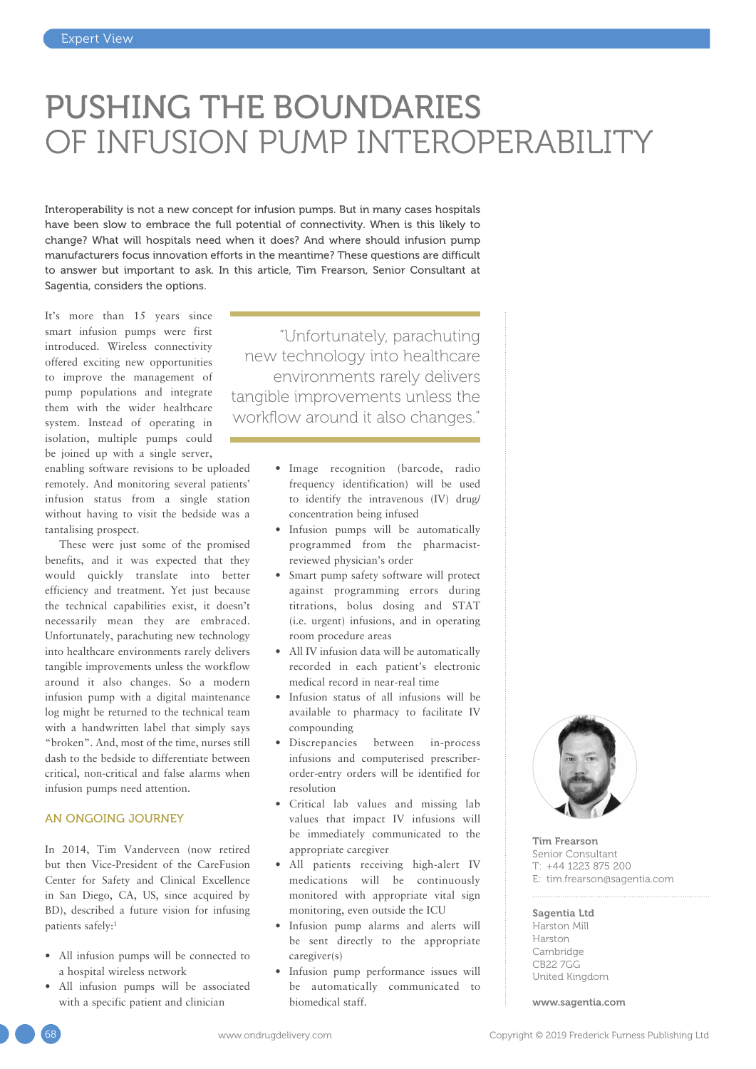# PUSHING THE BOUNDARIES OF INFUSION PUMP INTEROPERABILITY

Interoperability is not a new concept for infusion pumps. But in many cases hospitals have been slow to embrace the full potential of connectivity. When is this likely to change? What will hospitals need when it does? And where should infusion pump manufacturers focus innovation efforts in the meantime? These questions are difficult to answer but important to ask. In this article, Tim Frearson, Senior Consultant at Sagentia, considers the options.

It's more than 15 years since smart infusion pumps were first introduced. Wireless connectivity offered exciting new opportunities to improve the management of pump populations and integrate them with the wider healthcare system. Instead of operating in isolation, multiple pumps could be joined up with a single server,

enabling software revisions to be uploaded remotely. And monitoring several patients' infusion status from a single station without having to visit the bedside was a tantalising prospect.

These were just some of the promised benefits, and it was expected that they would quickly translate into better efficiency and treatment. Yet just because the technical capabilities exist, it doesn't necessarily mean they are embraced. Unfortunately, parachuting new technology into healthcare environments rarely delivers tangible improvements unless the workflow around it also changes. So a modern infusion pump with a digital maintenance log might be returned to the technical team with a handwritten label that simply says "broken". And, most of the time, nurses still dash to the bedside to differentiate between critical, non-critical and false alarms when infusion pumps need attention.

## AN ONGOING JOURNEY

In 2014, Tim Vanderveen (now retired but then Vice-President of the CareFusion Center for Safety and Clinical Excellence in San Diego, CA, US, since acquired by BD), described a future vision for infusing patients safely:1

- All infusion pumps will be connected to a hospital wireless network
- All infusion pumps will be associated with a specific patient and clinician

"Unfortunately, parachuting new technology into healthcare environments rarely delivers tangible improvements unless the workflow around it also changes."

- Image recognition (barcode, radio frequency identification) will be used to identify the intravenous (IV) drug/ concentration being infused
- Infusion pumps will be automatically programmed from the pharmacistreviewed physician's order
- Smart pump safety software will protect against programming errors during titrations, bolus dosing and STAT (i.e. urgent) infusions, and in operating room procedure areas
- All IV infusion data will be automatically recorded in each patient's electronic medical record in near-real time
- Infusion status of all infusions will be available to pharmacy to facilitate IV compounding
- Discrepancies between in-process infusions and computerised prescriberorder-entry orders will be identified for resolution
- Critical lab values and missing lab values that impact IV infusions will be immediately communicated to the appropriate caregiver
- All patients receiving high-alert IV medications will be continuously monitored with appropriate vital sign monitoring, even outside the ICU
- Infusion pump alarms and alerts will be sent directly to the appropriate caregiver(s)
- Infusion pump performance issues will be automatically communicated to biomedical staff.



Tim Frearson Senior Consultant T: +44 1223 875 200 E: [tim.frearson@sagentia.com](mailto:tim.frearson@sagentia.com)

# Sagentia Ltd

Harston Mill Harston Cambridge CB22 7GG United Kingdom

[www.sagentia.com](http://www.sagentia.com)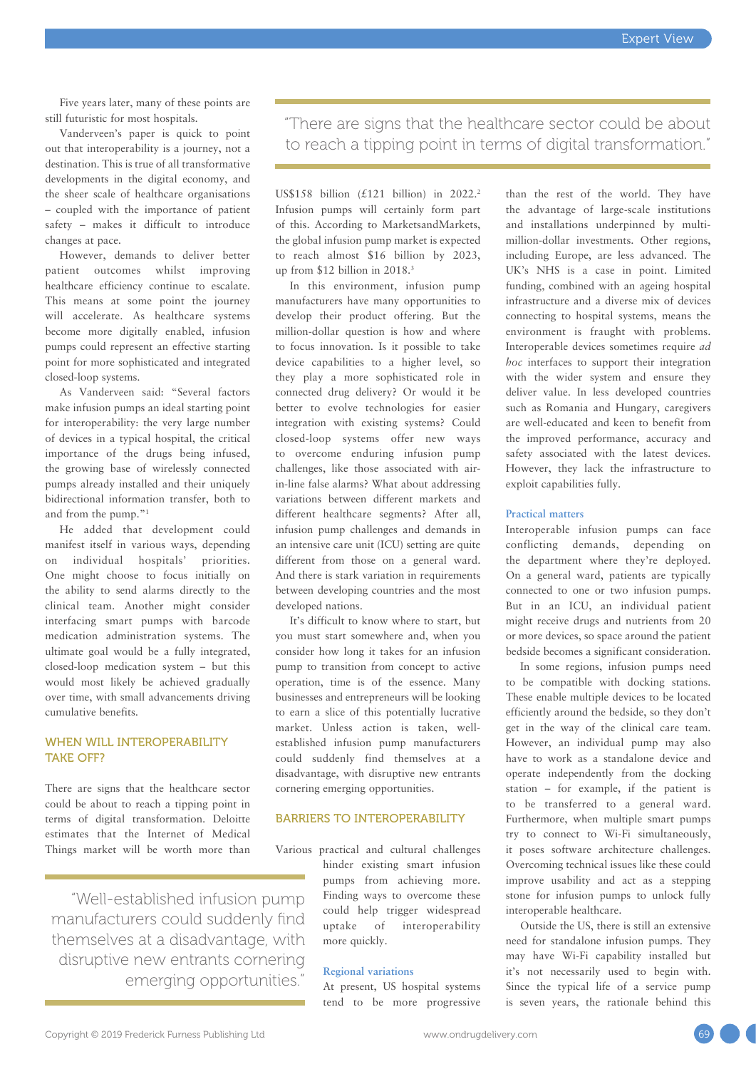Five years later, many of these points are still futuristic for most hospitals.

Vanderveen's paper is quick to point out that interoperability is a journey, not a destination. This is true of all transformative developments in the digital economy, and the sheer scale of healthcare organisations – coupled with the importance of patient safety – makes it difficult to introduce changes at pace.

However, demands to deliver better patient outcomes whilst improving healthcare efficiency continue to escalate. This means at some point the journey will accelerate. As healthcare systems become more digitally enabled, infusion pumps could represent an effective starting point for more sophisticated and integrated closed-loop systems.

As Vanderveen said: "Several factors make infusion pumps an ideal starting point for interoperability: the very large number of devices in a typical hospital, the critical importance of the drugs being infused, the growing base of wirelessly connected pumps already installed and their uniquely bidirectional information transfer, both to and from the pump."1

He added that development could manifest itself in various ways, depending on individual hospitals' priorities. One might choose to focus initially on the ability to send alarms directly to the clinical team. Another might consider interfacing smart pumps with barcode medication administration systems. The ultimate goal would be a fully integrated, closed-loop medication system – but this would most likely be achieved gradually over time, with small advancements driving cumulative benefits.

# WHEN WILL INTEROPERABILITY TAKE OFF?

There are signs that the healthcare sector could be about to reach a tipping point in terms of digital transformation. Deloitte estimates that the Internet of Medical Things market will be worth more than

"Well-established infusion pump manufacturers could suddenly find themselves at a disadvantage, with disruptive new entrants cornering emerging opportunities."

"There are signs that the healthcare sector could be about to reach a tipping point in terms of digital transformation."

US\$158 billion  $(£121$  billion) in 2022.<sup>2</sup> Infusion pumps will certainly form part of this. According to MarketsandMarkets, the global infusion pump market is expected to reach almost \$16 billion by 2023, up from \$12 billion in 2018.3

In this environment, infusion pump manufacturers have many opportunities to develop their product offering. But the million-dollar question is how and where to focus innovation. Is it possible to take device capabilities to a higher level, so they play a more sophisticated role in connected drug delivery? Or would it be better to evolve technologies for easier integration with existing systems? Could closed-loop systems offer new ways to overcome enduring infusion pump challenges, like those associated with airin-line false alarms? What about addressing variations between different markets and different healthcare segments? After all, infusion pump challenges and demands in an intensive care unit (ICU) setting are quite different from those on a general ward. And there is stark variation in requirements between developing countries and the most developed nations.

It's difficult to know where to start, but you must start somewhere and, when you consider how long it takes for an infusion pump to transition from concept to active operation, time is of the essence. Many businesses and entrepreneurs will be looking to earn a slice of this potentially lucrative market. Unless action is taken, wellestablished infusion pump manufacturers could suddenly find themselves at a disadvantage, with disruptive new entrants cornering emerging opportunities.

# BARRIERS TO INTEROPERABILITY

Various practical and cultural challenges hinder existing smart infusion pumps from achieving more. Finding ways to overcome these could help trigger widespread uptake of interoperability more quickly.

# **Regional variations**

At present, US hospital systems tend to be more progressive than the rest of the world. They have the advantage of large-scale institutions and installations underpinned by multimillion-dollar investments. Other regions, including Europe, are less advanced. The UK's NHS is a case in point. Limited funding, combined with an ageing hospital infrastructure and a diverse mix of devices connecting to hospital systems, means the environment is fraught with problems. Interoperable devices sometimes require *ad hoc* interfaces to support their integration with the wider system and ensure they deliver value. In less developed countries such as Romania and Hungary, caregivers are well-educated and keen to benefit from the improved performance, accuracy and safety associated with the latest devices. However, they lack the infrastructure to exploit capabilities fully.

#### **Practical matters**

Interoperable infusion pumps can face conflicting demands, depending on the department where they're deployed. On a general ward, patients are typically connected to one or two infusion pumps. But in an ICU, an individual patient might receive drugs and nutrients from 20 or more devices, so space around the patient bedside becomes a significant consideration.

In some regions, infusion pumps need to be compatible with docking stations. These enable multiple devices to be located efficiently around the bedside, so they don't get in the way of the clinical care team. However, an individual pump may also have to work as a standalone device and operate independently from the docking station – for example, if the patient is to be transferred to a general ward. Furthermore, when multiple smart pumps try to connect to Wi-Fi simultaneously, it poses software architecture challenges. Overcoming technical issues like these could improve usability and act as a stepping stone for infusion pumps to unlock fully interoperable healthcare.

Outside the US, there is still an extensive need for standalone infusion pumps. They may have Wi-Fi capability installed but it's not necessarily used to begin with. Since the typical life of a service pump is seven years, the rationale behind this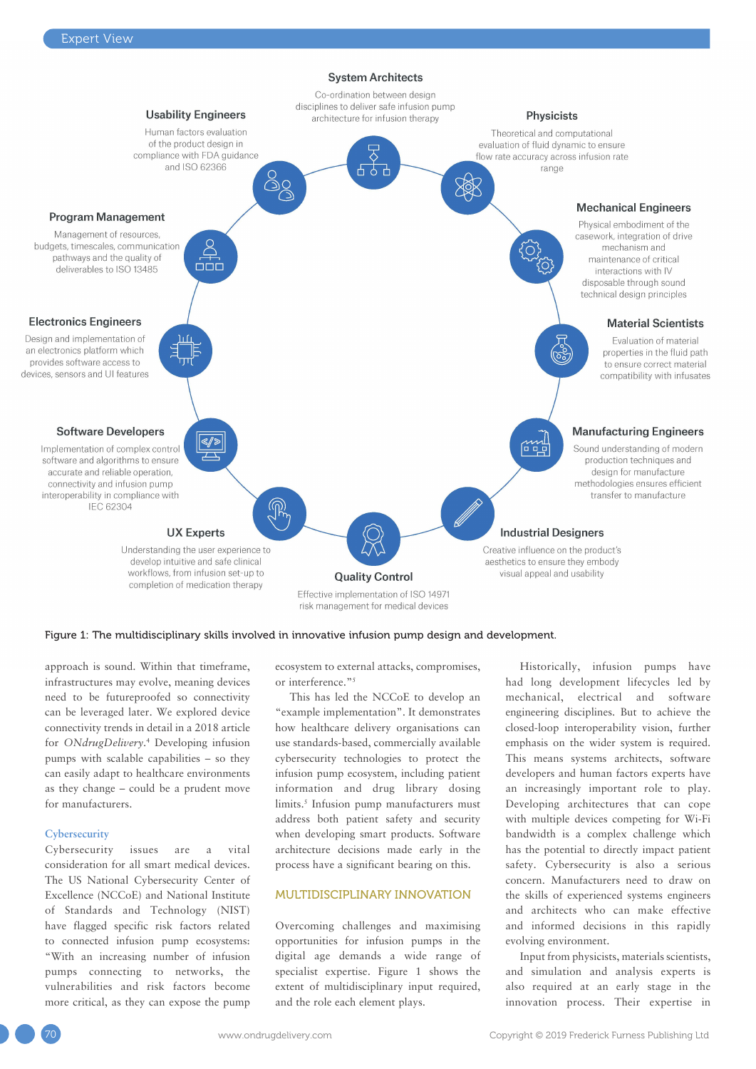

#### Figure 1: The multidisciplinary skills involved in innovative infusion pump design and development.

approach is sound. Within that timeframe, infrastructures may evolve, meaning devices need to be futureproofed so connectivity can be leveraged later. We explored device connectivity trends in detail in a [2018 article](https://www.ondrugdelivery.com/normalising-connectivity-could-unconnected-devices-become-exception/) for *[ONdrugDelivery](https://www.ondrugdelivery.com/normalising-connectivity-could-unconnected-devices-become-exception/)*. 4 Developing infusion pumps with scalable capabilities – so they can easily adapt to healthcare environments as they change – could be a prudent move for manufacturers.

# **Cybersecurity**

Cybersecurity issues are a vital consideration for all smart medical devices. The US National Cybersecurity Center of Excellence (NCCoE) and National Institute of Standards and Technology (NIST) have flagged specific risk factors related to connected infusion pump ecosystems: "With an increasing number of infusion pumps connecting to networks, the vulnerabilities and risk factors become more critical, as they can expose the pump ecosystem to external attacks, compromises, or interference."5

This has led the NCCoE to develop an "example implementation". It demonstrates how healthcare delivery organisations can use standards-based, commercially available cybersecurity technologies to protect the infusion pump ecosystem, including patient information and drug library dosing limits.<sup>5</sup> Infusion pump manufacturers must address both patient safety and security when developing smart products. Software architecture decisions made early in the process have a significant bearing on this.

## MULTIDISCIPLINARY INNOVATION

Overcoming challenges and maximising opportunities for infusion pumps in the digital age demands a wide range of specialist expertise. Figure 1 shows the extent of multidisciplinary input required, and the role each element plays.

Historically, infusion pumps have had long development lifecycles led by mechanical, electrical and software engineering disciplines. But to achieve the closed-loop interoperability vision, further emphasis on the wider system is required. This means systems architects, software developers and human factors experts have an increasingly important role to play. Developing architectures that can cope with multiple devices competing for Wi-Fi bandwidth is a complex challenge which has the potential to directly impact patient safety. Cybersecurity is also a serious concern. Manufacturers need to draw on the skills of experienced systems engineers and architects who can make effective and informed decisions in this rapidly evolving environment.

Input from physicists, materials scientists, and simulation and analysis experts is also required at an early stage in the innovation process. Their expertise in